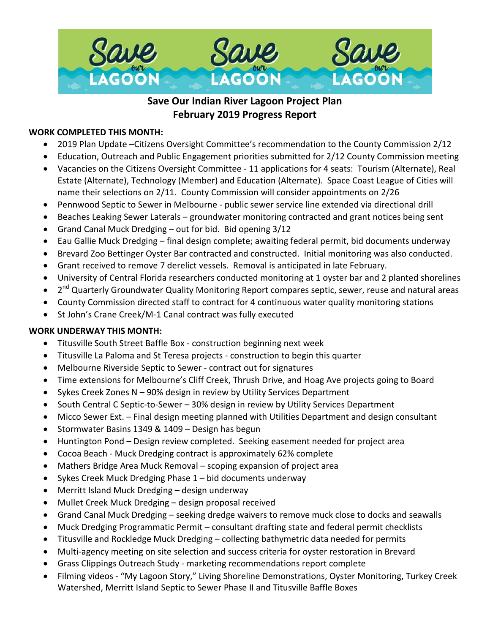

# **Save Our Indian River Lagoon Project Plan February 2019 Progress Report**

## **WORK COMPLETED THIS MONTH:**

- 2019 Plan Update –Citizens Oversight Committee's recommendation to the County Commission 2/12
- Education, Outreach and Public Engagement priorities submitted for 2/12 County Commission meeting
- Vacancies on the Citizens Oversight Committee 11 applications for 4 seats: Tourism (Alternate), Real Estate (Alternate), Technology (Member) and Education (Alternate). Space Coast League of Cities will name their selections on 2/11. County Commission will consider appointments on 2/26
- Pennwood Septic to Sewer in Melbourne public sewer service line extended via directional drill
- Beaches Leaking Sewer Laterals groundwater monitoring contracted and grant notices being sent
- Grand Canal Muck Dredging out for bid. Bid opening 3/12
- Eau Gallie Muck Dredging final design complete; awaiting federal permit, bid documents underway
- Brevard Zoo Bettinger Oyster Bar contracted and constructed. Initial monitoring was also conducted.
- Grant received to remove 7 derelict vessels. Removal is anticipated in late February.
- University of Central Florida researchers conducted monitoring at 1 oyster bar and 2 planted shorelines
- 2<sup>nd</sup> Quarterly Groundwater Quality Monitoring Report compares septic, sewer, reuse and natural areas
- County Commission directed staff to contract for 4 continuous water quality monitoring stations
- St John's Crane Creek/M-1 Canal contract was fully executed

## **WORK UNDERWAY THIS MONTH:**

- Titusville South Street Baffle Box construction beginning next week
- Titusville La Paloma and St Teresa projects construction to begin this quarter
- Melbourne Riverside Septic to Sewer contract out for signatures
- Time extensions for Melbourne's Cliff Creek, Thrush Drive, and Hoag Ave projects going to Board
- Sykes Creek Zones N 90% design in review by Utility Services Department
- South Central C Septic-to-Sewer 30% design in review by Utility Services Department
- Micco Sewer Ext. Final design meeting planned with Utilities Department and design consultant
- Stormwater Basins 1349 & 1409 Design has begun
- Huntington Pond Design review completed. Seeking easement needed for project area
- Cocoa Beach Muck Dredging contract is approximately 62% complete
- Mathers Bridge Area Muck Removal scoping expansion of project area
- Sykes Creek Muck Dredging Phase 1 bid documents underway
- Merritt Island Muck Dredging design underway
- Mullet Creek Muck Dredging design proposal received
- Grand Canal Muck Dredging seeking dredge waivers to remove muck close to docks and seawalls
- Muck Dredging Programmatic Permit consultant drafting state and federal permit checklists
- Titusville and Rockledge Muck Dredging collecting bathymetric data needed for permits
- Multi-agency meeting on site selection and success criteria for oyster restoration in Brevard
- Grass Clippings Outreach Study marketing recommendations report complete
- Filming videos "My Lagoon Story," Living Shoreline Demonstrations, Oyster Monitoring, Turkey Creek Watershed, Merritt Island Septic to Sewer Phase II and Titusville Baffle Boxes